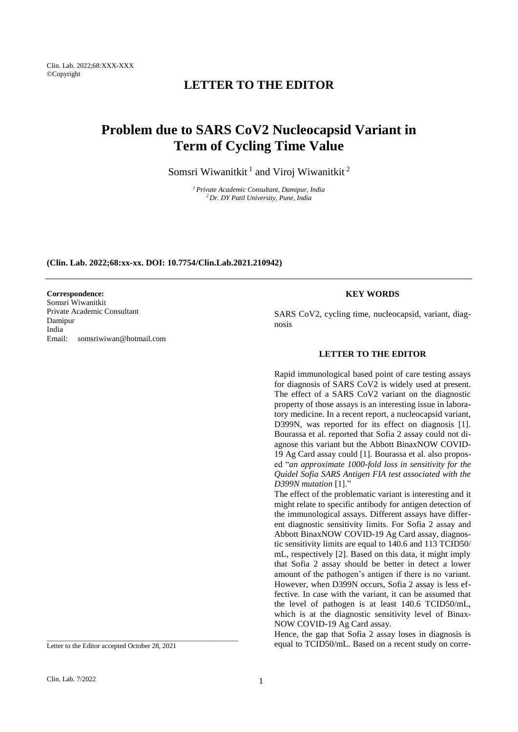# **LETTER TO THE EDITOR**

# **Problem due to SARS CoV2 Nucleocapsid Variant in Term of Cycling Time Value**

Somsri Wiwanitkit<sup>1</sup> and Viroj Wiwanitkit<sup>2</sup>

*<sup>1</sup>Private Academic Consultant, Damipur, India <sup>2</sup>Dr. DY Patil University, Pune, India*

**(Clin. Lab. 2022;68:xx-xx. DOI: 10.7754/Clin.Lab.2021.210942)**

### **Correspondence:**

Somsri Wiwanitkit Private Academic Consultant Damipur India Email: somsriwiwan@hotmail.com

## **KEY WORDS**

SARS CoV2, cycling time, nucleocapsid, variant, diagnosis

# **LETTER TO THE EDITOR**

Rapid immunological based point of care testing assays for diagnosis of SARS CoV2 is widely used at present. The effect of a SARS CoV2 variant on the diagnostic property of those assays is an interesting issue in laboratory medicine. In a recent report, a nucleocapsid variant, D399N, was reported for its effect on diagnosis [1]. Bourassa et al. reported that Sofia 2 assay could not diagnose this variant but the Abbott BinaxNOW COVID-19 Ag Card assay could [1]. Bourassa et al. also proposed "*an approximate 1000-fold loss in sensitivity for the Quidel Sofia SARS Antigen FIA test associated with the D399N mutation* [1]."

The effect of the problematic variant is interesting and it might relate to specific antibody for antigen detection of the immunological assays. Different assays have different diagnostic sensitivity limits. For Sofia 2 assay and Abbott BinaxNOW COVID-19 Ag Card assay, diagnostic sensitivity limits are equal to 140.6 and 113 TCID50/ mL, respectively [2]. Based on this data, it might imply that Sofia 2 assay should be better in detect a lower amount of the pathogen's antigen if there is no variant. However, when D399N occurs, Sofia 2 assay is less effective. In case with the variant, it can be assumed that the level of pathogen is at least 140.6 TCID50/mL, which is at the diagnostic sensitivity level of Binax-NOW COVID-19 Ag Card assay.

Hence, the gap that Sofia 2 assay loses in diagnosis is equal to TCID50/mL. Based on a recent study on corre-

Letter to the Editor accepted October 28, 2021

\_\_\_\_\_\_\_\_\_\_\_\_\_\_\_\_\_\_\_\_\_\_\_\_\_\_\_\_\_\_\_\_\_\_\_\_\_\_\_\_\_\_\_\_\_\_\_\_\_\_\_\_\_\_\_